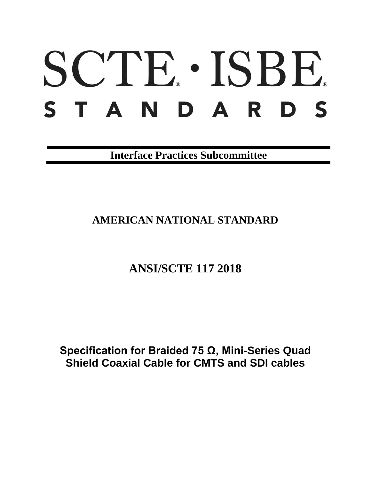# SCTE · ISBE. STANDARDS

**Interface Practices Subcommittee**

# **AMERICAN NATIONAL STANDARD**

# **ANSI/SCTE 117 2018**

**Specification for Braided 75 Ω, Mini-Series Quad Shield Coaxial Cable for CMTS and SDI cables**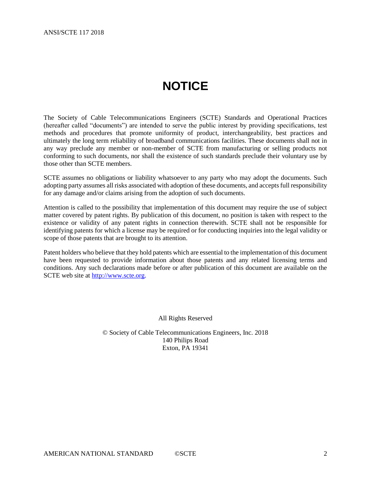# **NOTICE**

<span id="page-1-0"></span>The Society of Cable Telecommunications Engineers (SCTE) Standards and Operational Practices (hereafter called "documents") are intended to serve the public interest by providing specifications, test methods and procedures that promote uniformity of product, interchangeability, best practices and ultimately the long term reliability of broadband communications facilities. These documents shall not in any way preclude any member or non-member of SCTE from manufacturing or selling products not conforming to such documents, nor shall the existence of such standards preclude their voluntary use by those other than SCTE members.

SCTE assumes no obligations or liability whatsoever to any party who may adopt the documents. Such adopting party assumes all risks associated with adoption of these documents, and accepts full responsibility for any damage and/or claims arising from the adoption of such documents.

Attention is called to the possibility that implementation of this document may require the use of subject matter covered by patent rights. By publication of this document, no position is taken with respect to the existence or validity of any patent rights in connection therewith. SCTE shall not be responsible for identifying patents for which a license may be required or for conducting inquiries into the legal validity or scope of those patents that are brought to its attention.

Patent holders who believe that they hold patents which are essential to the implementation of this document have been requested to provide information about those patents and any related licensing terms and conditions. Any such declarations made before or after publication of this document are available on the SCTE web site at [http://www.scte.org.](http://www.scte.org/)

All Rights Reserved

© Society of Cable Telecommunications Engineers, Inc. 2018 140 Philips Road Exton, PA 19341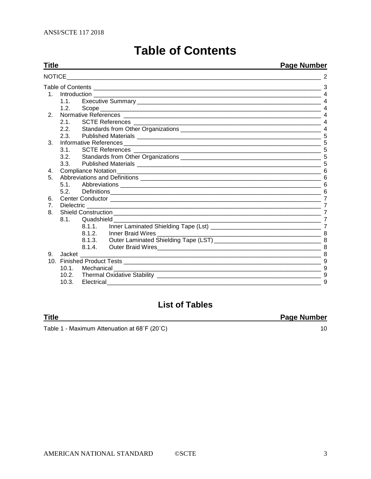<span id="page-2-0"></span>

| Title          |                                                                                                                                                                                                                                     |        |                                                           | <b>Page Number</b>      |
|----------------|-------------------------------------------------------------------------------------------------------------------------------------------------------------------------------------------------------------------------------------|--------|-----------------------------------------------------------|-------------------------|
| NOTICE         |                                                                                                                                                                                                                                     |        |                                                           |                         |
|                | Table of Contents <b>contents</b> and the content of the content of the content of the content of the content of the content of the content of the content of the content of the content of the content of the content of the conte |        |                                                           |                         |
|                |                                                                                                                                                                                                                                     |        |                                                           | $\boldsymbol{\Delta}$   |
|                | 1.1                                                                                                                                                                                                                                 |        |                                                           |                         |
|                | 1.2.                                                                                                                                                                                                                                |        |                                                           |                         |
| 2.             |                                                                                                                                                                                                                                     |        |                                                           | $\boldsymbol{\Delta}$   |
|                | 2.1.                                                                                                                                                                                                                                |        |                                                           | $\boldsymbol{4}$        |
|                | 2.2.                                                                                                                                                                                                                                |        |                                                           |                         |
|                | 2.3.                                                                                                                                                                                                                                |        |                                                           |                         |
| 3.             |                                                                                                                                                                                                                                     |        |                                                           |                         |
|                | 3.1.                                                                                                                                                                                                                                |        |                                                           |                         |
|                | 3.2.                                                                                                                                                                                                                                |        |                                                           |                         |
|                | 3.3.                                                                                                                                                                                                                                |        |                                                           | 5                       |
| 4.             |                                                                                                                                                                                                                                     |        |                                                           |                         |
| 5.             |                                                                                                                                                                                                                                     |        |                                                           |                         |
|                |                                                                                                                                                                                                                                     |        |                                                           |                         |
|                | 5.2                                                                                                                                                                                                                                 |        |                                                           | 6                       |
| 6.             |                                                                                                                                                                                                                                     |        | $\overline{7}$                                            |                         |
| 7 <sub>1</sub> |                                                                                                                                                                                                                                     |        |                                                           | $\overline{7}$          |
| 8.             |                                                                                                                                                                                                                                     |        |                                                           | 7                       |
|                | 8.1.                                                                                                                                                                                                                                |        | Quadshield <b>Communist Communist Communist Communist</b> |                         |
|                |                                                                                                                                                                                                                                     | 8.1.1. |                                                           |                         |
|                |                                                                                                                                                                                                                                     | 8.1.2. | Inner Braid Wires _______________                         | $\frac{1}{\sqrt{11}}$ 8 |
|                |                                                                                                                                                                                                                                     |        |                                                           |                         |
|                |                                                                                                                                                                                                                                     | 8.1.4. | Outer Braid Wires                                         | 8                       |
| 9.             | Jacket                                                                                                                                                                                                                              |        |                                                           |                         |
|                |                                                                                                                                                                                                                                     |        |                                                           | 9                       |
|                | 10.1.<br>Mechanical                                                                                                                                                                                                                 |        |                                                           | 9                       |
|                | 10.2.                                                                                                                                                                                                                               |        |                                                           | 9                       |
|                | 10.3.<br>Electrical                                                                                                                                                                                                                 |        |                                                           | 9                       |

# **Table of Contents**

# **List of Tables**

#### **Title**

Table 1 - Maximum Attenuation at 68°F (20°C)

**Page Number** 

 $10$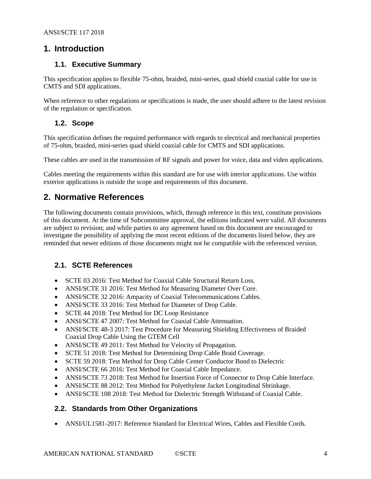# <span id="page-3-0"></span>**1. Introduction**

## <span id="page-3-1"></span>**1.1. Executive Summary**

This specification applies to flexible 75-ohm, braided, mini-series, quad shield coaxial cable for use in CMTS and SDI applications.

When reference to other regulations or specifications is made, the user should adhere to the latest revision of the regulation or specification.

# <span id="page-3-2"></span>**1.2. Scope**

This specification defines the required performance with regards to electrical and mechanical properties of 75-ohm, braided, mini-series quad shield coaxial cable for CMTS and SDI applications.

These cables are used in the transmission of RF signals and power for voice, data and video applications.

Cables meeting the requirements within this standard are for use with interior applications. Use within exterior applications is outside the scope and requirements of this document.

# <span id="page-3-3"></span>**2. Normative References**

The following documents contain provisions, which, through reference in this text, constitute provisions of this document. At the time of Subcommittee approval, the editions indicated were valid. All documents are subject to revision; and while parties to any agreement based on this document are encouraged to investigate the possibility of applying the most recent editions of the documents listed below, they are reminded that newer editions of those documents might not be compatible with the referenced version.

# <span id="page-3-4"></span>**2.1. SCTE References**

- SCTE 03 2016: Test Method for Coaxial Cable Structural Return Loss.
- ANSI/SCTE 31 2016: Test Method for Measuring Diameter Over Core.
- ANSI/SCTE 32 2016: Ampacity of Coaxial Telecommunications Cables.
- ANSI/SCTE 33 2016: Test Method for Diameter of Drop Cable.
- SCTE 44 2018: Test Method for DC Loop Resistance
- ANSI/SCTE 47 2007: Test Method for Coaxial Cable Attenuation.
- ANSI/SCTE 48-3 2017: Test Procedure for Measuring Shielding Effectiveness of Braided Coaxial Drop Cable Using the GTEM Cell
- ANSI/SCTE 49 2011: Test Method for Velocity of Propagation.
- SCTE 51 2018: Test Method for Determining Drop Cable Braid Coverage.
- SCTE 59 2018: Test Method for Drop Cable Center Conductor Bond to Dielectric
- ANSI/SCTE 66 2016: Test Method for Coaxial Cable Impedance.
- ANSI/SCTE 73 2018: Test Method for Insertion Force of Connector to Drop Cable Interface.
- ANSI/SCTE 88 2012: Test Method for Polyethylene Jacket Longitudinal Shrinkage.
- ANSI/SCTE 108 2018: Test Method for Dielectric Strength Withstand of Coaxial Cable.

# <span id="page-3-5"></span>**2.2. Standards from Other Organizations**

• ANSI/UL1581-2017: Reference Standard for Electrical Wires, Cables and Flexible Cords.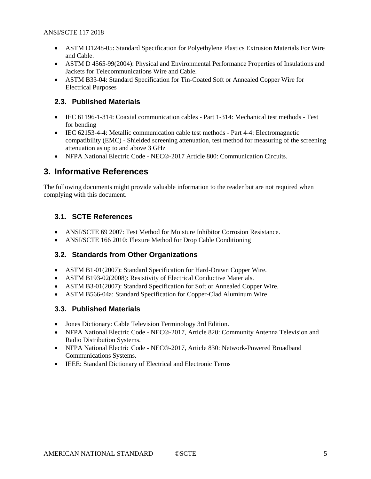- ASTM D1248-05: Standard Specification for Polyethylene Plastics Extrusion Materials For Wire and Cable.
- ASTM D 4565-99(2004): Physical and Environmental Performance Properties of Insulations and Jackets for Telecommunications Wire and Cable.
- ASTM B33-04: Standard Specification for Tin-Coated Soft or Annealed Copper Wire for Electrical Purposes

#### <span id="page-4-0"></span>**2.3. Published Materials**

- IEC 61196-1-314: Coaxial communication cables Part 1-314: Mechanical test methods Test for bending
- IEC 62153-4-4: Metallic communication cable test methods Part 4-4: Electromagnetic compatibility (EMC) - Shielded screening attenuation, test method for measuring of the screening attenuation as up to and above 3 GHz
- NFPA National Electric Code NEC®-2017 Article 800: Communication Circuits.

# <span id="page-4-1"></span>**3. Informative References**

The following documents might provide valuable information to the reader but are not required when complying with this document.

# <span id="page-4-2"></span>**3.1. SCTE References**

- ANSI/SCTE 69 2007: Test Method for Moisture Inhibitor Corrosion Resistance.
- ANSI/SCTE 166 2010: Flexure Method for Drop Cable Conditioning

# <span id="page-4-3"></span>**3.2. Standards from Other Organizations**

- ASTM B1-01(2007): Standard Specification for Hard-Drawn Copper Wire.
- ASTM B193-02(2008): Resistivity of Electrical Conductive Materials.
- ASTM B3-01(2007): Standard Specification for Soft or Annealed Copper Wire.
- <span id="page-4-4"></span>• ASTM B566-04a: Standard Specification for Copper-Clad Aluminum Wire

#### **3.3. Published Materials**

- Jones Dictionary: Cable Television Terminology 3rd Edition.
- NFPA National Electric Code NEC®-2017, Article 820: Community Antenna Television and Radio Distribution Systems.
- NFPA National Electric Code NEC®-2017, Article 830: Network-Powered Broadband Communications Systems.
- IEEE: Standard Dictionary of Electrical and Electronic Terms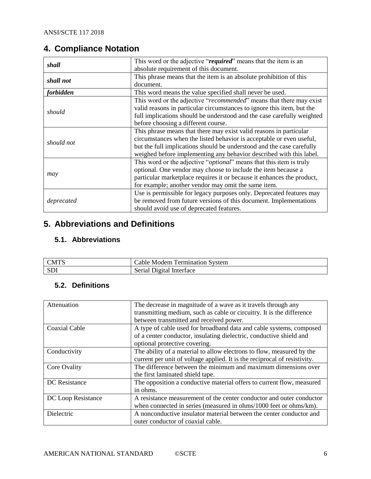# <span id="page-5-0"></span>**4. Compliance Notation**

| shall      | This word or the adjective "required" means that the item is an        |  |  |
|------------|------------------------------------------------------------------------|--|--|
|            | absolute requirement of this document.                                 |  |  |
| shall not  | This phrase means that the item is an absolute prohibition of this     |  |  |
|            | document.                                                              |  |  |
| forbidden  | This word means the value specified shall never be used.               |  |  |
|            | This word or the adjective "recommended" means that there may exist    |  |  |
|            | valid reasons in particular circumstances to ignore this item, but the |  |  |
| should     | full implications should be understood and the case carefully weighted |  |  |
|            | before choosing a different course.                                    |  |  |
|            | This phrase means that there may exist valid reasons in particular     |  |  |
| should not | circumstances when the listed behavior is acceptable or even useful,   |  |  |
|            | but the full implications should be understood and the case carefully  |  |  |
|            | weighed before implementing any behavior described with this label.    |  |  |
|            | This word or the adjective "optional" means that this item is truly    |  |  |
|            | optional. One vendor may choose to include the item because a          |  |  |
| may        | particular marketplace requires it or because it enhances the product, |  |  |
|            | for example; another vendor may omit the same item.                    |  |  |
|            | Use is permissible for legacy purposes only. Deprecated features may   |  |  |
| deprecated | be removed from future versions of this document. Implementations      |  |  |
|            | should avoid use of deprecated features.                               |  |  |

# <span id="page-5-1"></span>**5. Abbreviations and Definitions**

# <span id="page-5-2"></span>**5.1. Abbreviations**

| <b>CMTS</b> | $^{\circ}$ ermination<br>System<br>able:<br>Modem |
|-------------|---------------------------------------------------|
| CD<br>. עס  | Jigital<br>Interface<br>serial.                   |

# <span id="page-5-3"></span>**5.2. Definitions**

| Attenuation          | The decrease in magnitude of a wave as it travels through any<br>transmitting medium, such as cable or circuitry. It is the difference<br>between transmitted and received power. |
|----------------------|-----------------------------------------------------------------------------------------------------------------------------------------------------------------------------------|
| Coaxial Cable        | A type of cable used for broadband data and cable systems, composed<br>of a center conductor, insulating dielectric, conductive shield and<br>optional protective covering.       |
| Conductivity         | The ability of a material to allow electrons to flow, measured by the<br>current per unit of voltage applied. It is the reciprocal of resistivity.                                |
| Core Ovality         | The difference between the minimum and maximum dimensions over<br>the first laminated shield tape.                                                                                |
| <b>DC</b> Resistance | The opposition a conductive material offers to current flow, measured<br>in ohms.                                                                                                 |
| DC Loop Resistance   | A resistance measurement of the center conductor and outer conductor<br>when connected in series (measured in ohms/1000 feet or ohms/km).                                         |
| Dielectric           | A nonconductive insulator material between the center conductor and<br>outer conductor of coaxial cable.                                                                          |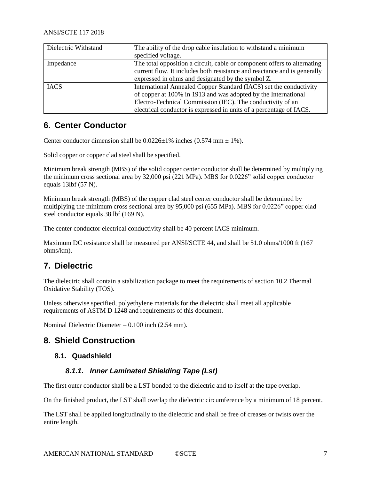| Dielectric Withstand | The ability of the drop cable insulation to withstand a minimum          |  |
|----------------------|--------------------------------------------------------------------------|--|
|                      | specified voltage.                                                       |  |
| Impedance            | The total opposition a circuit, cable or component offers to alternating |  |
|                      | current flow. It includes both resistance and reactance and is generally |  |
|                      | expressed in ohms and designated by the symbol Z.                        |  |
| <b>IACS</b>          | International Annealed Copper Standard (IACS) set the conductivity       |  |
|                      | of copper at 100% in 1913 and was adopted by the International           |  |
|                      | Electro-Technical Commission (IEC). The conductivity of an               |  |
|                      | electrical conductor is expressed in units of a percentage of IACS.      |  |

# <span id="page-6-0"></span>**6. Center Conductor**

Center conductor dimension shall be  $0.0226 \pm 1\%$  inches  $(0.574 \text{ mm} \pm 1\%)$ .

Solid copper or copper clad steel shall be specified.

Minimum break strength (MBS) of the solid copper center conductor shall be determined by multiplying the minimum cross sectional area by 32,000 psi (221 MPa). MBS for 0.0226" solid copper conductor equals 13lbf (57 N).

Minimum break strength (MBS) of the copper clad steel center conductor shall be determined by multiplying the minimum cross sectional area by 95,000 psi (655 MPa). MBS for 0.0226" copper clad steel conductor equals 38 lbf (169 N).

The center conductor electrical conductivity shall be 40 percent IACS minimum.

Maximum DC resistance shall be measured per ANSI/SCTE 44, and shall be 51.0 ohms/1000 ft (167 ohms/km).

# <span id="page-6-1"></span>**7. Dielectric**

The dielectric shall contain a stabilization package to meet the requirements of sectio[n 10.2](#page-8-2) Thermal Oxidative Stability (TOS).

Unless otherwise specified, polyethylene materials for the dielectric shall meet all applicable requirements of ASTM D 1248 and requirements of this document.

Nominal Dielectric Diameter – 0.100 inch (2.54 mm).

# <span id="page-6-3"></span><span id="page-6-2"></span>**8. Shield Construction**

#### <span id="page-6-4"></span>**8.1. Quadshield**

# *8.1.1. Inner Laminated Shielding Tape (Lst)*

The first outer conductor shall be a LST bonded to the dielectric and to itself at the tape overlap.

On the finished product, the LST shall overlap the dielectric circumference by a minimum of 18 percent.

The LST shall be applied longitudinally to the dielectric and shall be free of creases or twists over the entire length.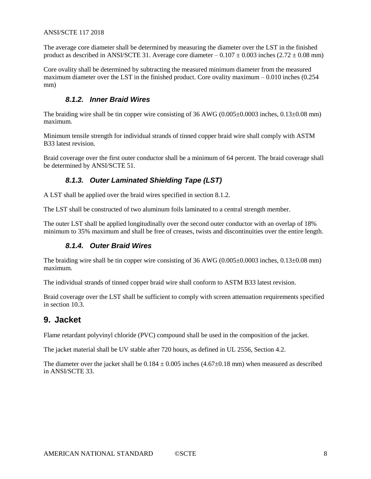#### ANSI/SCTE 117 2018

The average core diameter shall be determined by measuring the diameter over the LST in the finished product as described in ANSI/SCTE 31. Average core diameter –  $0.107 \pm 0.003$  inches (2.72  $\pm 0.08$  mm)

Core ovality shall be determined by subtracting the measured minimum diameter from the measured maximum diameter over the LST in the finished product. Core ovality maximum – 0.010 inches (0.254 mm)

#### *8.1.2. Inner Braid Wires*

<span id="page-7-0"></span>The braiding wire shall be tin copper wire consisting of 36 AWG (0.005 $\pm$ 0.0003 inches, 0.13 $\pm$ 0.08 mm) maximum.

Minimum tensile strength for individual strands of tinned copper braid wire shall comply with ASTM B33 latest revision.

<span id="page-7-1"></span>Braid coverage over the first outer conductor shall be a minimum of 64 percent. The braid coverage shall be determined by ANSI/SCTE 51.

#### *8.1.3. Outer Laminated Shielding Tape (LST)*

A LST shall be applied over the braid wires specified in section [8.1.2.](#page-7-0)

The LST shall be constructed of two aluminum foils laminated to a central strength member.

<span id="page-7-2"></span>The outer LST shall be applied longitudinally over the second outer conductor with an overlap of 18% minimum to 35% maximum and shall be free of creases, twists and discontinuities over the entire length.

#### *8.1.4. Outer Braid Wires*

The braiding wire shall be tin copper wire consisting of  $36 \text{ AWG}$  (0.005 $\pm$ 0.0003 inches, 0.13 $\pm$ 0.08 mm) maximum.

The individual strands of tinned copper braid wire shall conform to ASTM B33 latest revision.

Braid coverage over the LST shall be sufficient to comply with screen attenuation requirements specified in section [10.3.](#page-8-3)

# <span id="page-7-3"></span>**9. Jacket**

Flame retardant polyvinyl chloride (PVC) compound shall be used in the composition of the jacket.

The jacket material shall be UV stable after 720 hours, as defined in UL 2556, Section 4.2.

The diameter over the jacket shall be  $0.184 \pm 0.005$  inches  $(4.67 \pm 0.18$  mm) when measured as described in ANSI/SCTE 33.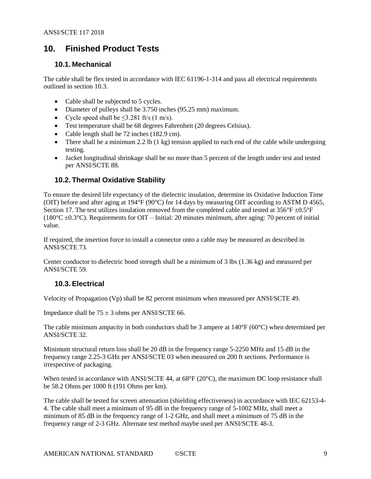# <span id="page-8-0"></span>**10. Finished Product Tests**

## <span id="page-8-1"></span>**10.1. Mechanical**

The cable shall be flex tested in accordance with IEC 61196-1-314 and pass all electrical requirements outlined in section [10.3.](#page-8-3)

- Cable shall be subjected to 5 cycles.
- Diameter of pulleys shall be 3.750 inches (95.25 mm) maximum.
- Cycle speed shall be  $\leq$ 3.281 ft/s (1 m/s).
- Test temperature shall be 68 degrees Fahrenheit (20 degrees Celsius).
- Cable length shall be 72 inches (182.9 cm).
- There shall be a minimum 2.2 lb  $(1 \text{ kg})$  tension applied to each end of the cable while undergoing testing.
- Jacket longitudinal shrinkage shall be no more than 5 percent of the length under test and tested per ANSI/SCTE 88.

#### <span id="page-8-2"></span>**10.2. Thermal Oxidative Stability**

To ensure the desired life expectancy of the dielectric insulation, determine its Oxidative Induction Time (OIT) before and after aging at 194°F (90°C) for 14 days by measuring OIT according to ASTM D 4565, Section 17. The test utilizes insulation removed from the completed cable and tested at  $356^{\circ}F \pm 0.5^{\circ}F$ (180 $^{\circ}$ C ±0.3 $^{\circ}$ C). Requirements for OIT – Initial: 20 minutes minimum, after aging: 70 percent of initial value.

If required, the insertion force to install a connector onto a cable may be measured as described in ANSI/SCTE 73.

Center conductor to dielectric bond strength shall be a minimum of 3 lbs (1.36 kg) and measured per ANSI/SCTE 59.

# <span id="page-8-3"></span>**10.3. Electrical**

Velocity of Propagation (Vp) shall be 82 percent minimum when measured per ANSI/SCTE 49.

Impedance shall be  $75 \pm 3$  ohms per ANSI/SCTE 66.

The cable minimum ampacity in both conductors shall be 3 ampere at 140°F (60°C) when determined per ANSI/SCTE 32.

Minimum structural return loss shall be 20 dB in the frequency range 5-2250 MHz and 15 dB in the frequency range 2.25-3 GHz per ANSI/SCTE 03 when measured on 200 ft sections. Performance is irrespective of packaging.

When tested in accordance with ANSI/SCTE 44, at 68°F (20°C), the maximum DC loop resistance shall be 58.2 Ohms per 1000 ft (191 Ohms per km).

The cable shall be tested for screen attenuation (shielding effectiveness) in accordance with IEC 62153-4- 4. The cable shall meet a minimum of 95 dB in the frequency range of 5-1002 MHz, shall meet a minimum of 85 dB in the frequency range of 1-2 GHz, and shall meet a minimum of 75 dB in the frequency range of 2-3 GHz. Alternate test method maybe used per ANSI/SCTE 48-3.